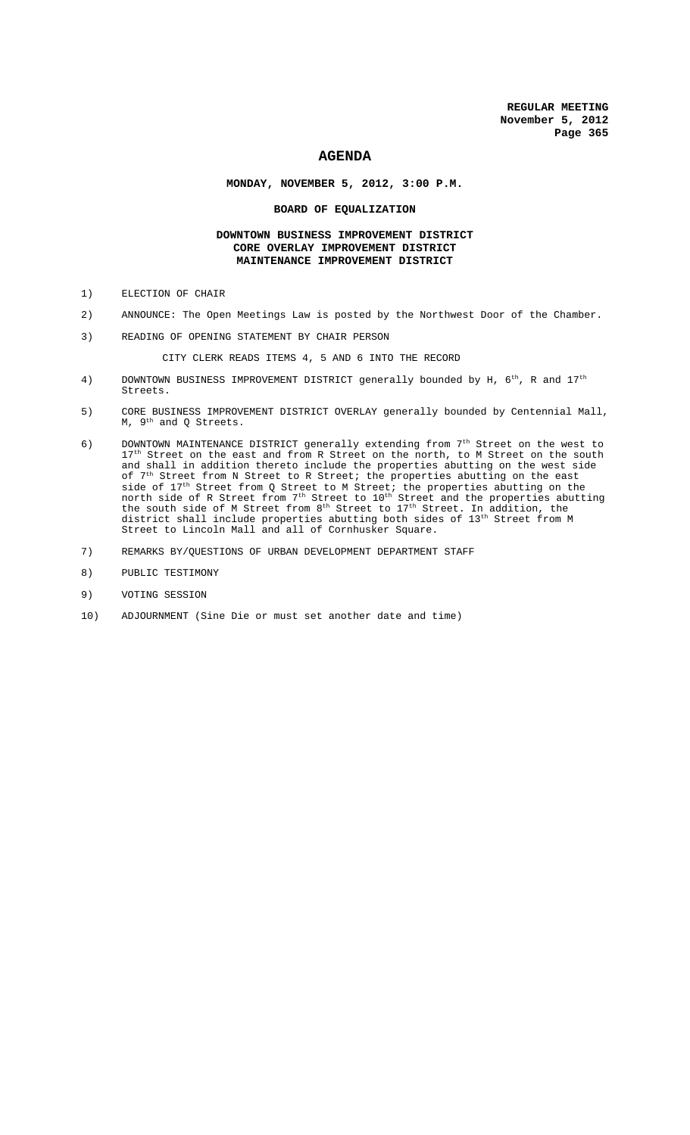# **AGENDA**

# **MONDAY, NOVEMBER 5, 2012, 3:00 P.M.**

### **BOARD OF EQUALIZATION**

# **DOWNTOWN BUSINESS IMPROVEMENT DISTRICT CORE OVERLAY IMPROVEMENT DISTRICT MAINTENANCE IMPROVEMENT DISTRICT**

- 1) ELECTION OF CHAIR
- 2) ANNOUNCE: The Open Meetings Law is posted by the Northwest Door of the Chamber.
- 3) READING OF OPENING STATEMENT BY CHAIR PERSON

CITY CLERK READS ITEMS 4, 5 AND 6 INTO THE RECORD

- 4) DOWNTOWN BUSINESS IMPROVEMENT DISTRICT generally bounded by H,  $6^{th}$ , R and  $17^{th}$ Streets.
- 5) CORE BUSINESS IMPROVEMENT DISTRICT OVERLAY generally bounded by Centennial Mall, M, 9th and Q Streets.
- 6) DOWNTOWN MAINTENANCE DISTRICT generally extending from  $7<sup>th</sup>$  Street on the west to 17<sup>th</sup> Street on the east and from R Street on the north, to M Street on the south and shall in addition thereto include the properties abutting on the west side of 7<sup>th</sup> Street from N Street to R Street; the properties abutting on the east side of 17<sup>th</sup> Street from Q Street to M Street; the properties abutting on the north side of R Street from  $7^\mathrm{th}$  Street to  $10^\mathrm{th}$  Street and the properties abutting the south side of M Street from  $8^{\text{th}}$  Street to  $17^{\text{th}}$  Street. In addition, the district shall include properties abutting both sides of  $13^{\text{th}}$  Street from M Street to Lincoln Mall and all of Cornhusker Square.
- 7) REMARKS BY/QUESTIONS OF URBAN DEVELOPMENT DEPARTMENT STAFF
- 8) PUBLIC TESTIMONY
- 9) VOTING SESSION
- 10) ADJOURNMENT (Sine Die or must set another date and time)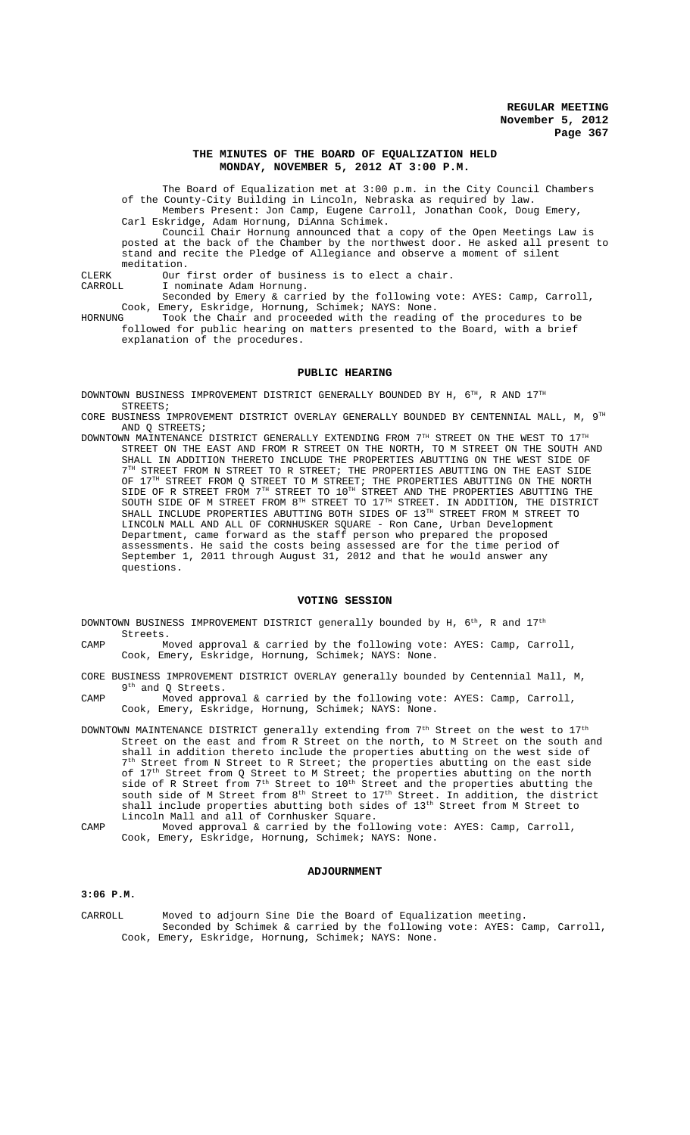### **THE MINUTES OF THE BOARD OF EQUALIZATION HELD MONDAY, NOVEMBER 5, 2012 AT 3:00 P.M.**

The Board of Equalization met at 3:00 p.m. in the City Council Chambers of the County-City Building in Lincoln, Nebraska as required by law.

Members Present: Jon Camp, Eugene Carroll, Jonathan Cook, Doug Emery, Carl Eskridge, Adam Hornung, DiAnna Schimek.

Council Chair Hornung announced that a copy of the Open Meetings Law is posted at the back of the Chamber by the northwest door. He asked all present to stand and recite the Pledge of Allegiance and observe a moment of silent meditation.

CLERK Our first order of business is to elect a chair.<br>CARROLL T nominate Adam Hornung

CARROLL I nominate Adam Hornung.

Seconded by Emery & carried by the following vote: AYES: Camp, Carroll, Cook, Emery, Eskridge, Hornung, Schimek; NAYS: None.

HORNUNG Took the Chair and proceeded with the reading of the procedures to be followed for public hearing on matters presented to the Board, with a brief explanation of the procedures.

### **PUBLIC HEARING**

DOWNTOWN BUSINESS IMPROVEMENT DISTRICT GENERALLY BOUNDED BY H, 6TH, R AND 17TH STREETS;

CORE BUSINESS IMPROVEMENT DISTRICT OVERLAY GENERALLY BOUNDED BY CENTENNIAL MALL, M, 9TH AND Q STREETS;

DOWNTOWN MAINTENANCE DISTRICT GENERALLY EXTENDING FROM  $7^{\text{\tiny{TH}}}$  STREET ON THE WEST TO  $17^{\text{\tiny{TH}}}$ STREET ON THE EAST AND FROM R STREET ON THE NORTH, TO M STREET ON THE SOUTH AND SHALL IN ADDITION THERETO INCLUDE THE PROPERTIES ABUTTING ON THE WEST SIDE OF  $7<sup>TH</sup>$  STREET FROM N STREET TO R STREET; THE PROPERTIES ABUTTING ON THE EAST SIDE OF  $17^{\text{\tiny{TH}}}$  STREET FROM Q STREET TO M STREET; THE PROPERTIES ABUTTING ON THE NORTH SIDE OF R STREET FROM  $7^{\text{\tiny{TH}}}$  STREET TO  $10^{\text{\tiny{TH}}}$  STREET AND THE PROPERTIES ABUTTING THE SOUTH SIDE OF M STREET FROM  $8^{TH}$  STREET TO  $17^{TH}$  STREET. IN ADDITION, THE DISTRICT SHALL INCLUDE PROPERTIES ABUTTING BOTH SIDES OF 13TH STREET FROM M STREET TO LINCOLN MALL AND ALL OF CORNHUSKER SQUARE - Ron Cane, Urban Development Department, came forward as the staff person who prepared the proposed assessments. He said the costs being assessed are for the time period of September 1, 2011 through August 31, 2012 and that he would answer any questions.

### **VOTING SESSION**

DOWNTOWN BUSINESS IMPROVEMENT DISTRICT generally bounded by H,  $6^{th}$ , R and  $17^{th}$ Streets.

- CAMP Moved approval & carried by the following vote: AYES: Camp, Carroll, Cook, Emery, Eskridge, Hornung, Schimek; NAYS: None.
- CORE BUSINESS IMPROVEMENT DISTRICT OVERLAY generally bounded by Centennial Mall, M, 9<sup>th</sup> and Q Streets.
- CAMP Moved approval & carried by the following vote: AYES: Camp, Carroll, Cook, Emery, Eskridge, Hornung, Schimek; NAYS: None.

DOWNTOWN MAINTENANCE DISTRICT generally extending from  $7^\mathrm{th}$  Street on the west to  $17^\mathrm{th}$ Street on the east and from R Street on the north, to M Street on the south and shall in addition thereto include the properties abutting on the west side of 7th Street from N Street to R Street; the properties abutting on the east side of  $17^{\text{th}}$  Street from Q Street to M Street; the properties abutting on the north side of R Street from  $7^{\text{th}}$  Street to  $10^{\text{th}}$  Street and the properties abutting the south side of M Street from  $8<sup>th</sup>$  Street to  $17<sup>th</sup>$  Street. In addition, the district shall include properties abutting both sides of 13<sup>th</sup> Street from M Street to Lincoln Mall and all of Cornhusker Square.

CAMP Moved approval & carried by the following vote: AYES: Camp, Carroll, Cook, Emery, Eskridge, Hornung, Schimek; NAYS: None.

### **ADJOURNMENT**

### **3:06 P.M.**

CARROLL Moved to adjourn Sine Die the Board of Equalization meeting. Seconded by Schimek & carried by the following vote: AYES: Camp, Carroll, Cook, Emery, Eskridge, Hornung, Schimek; NAYS: None.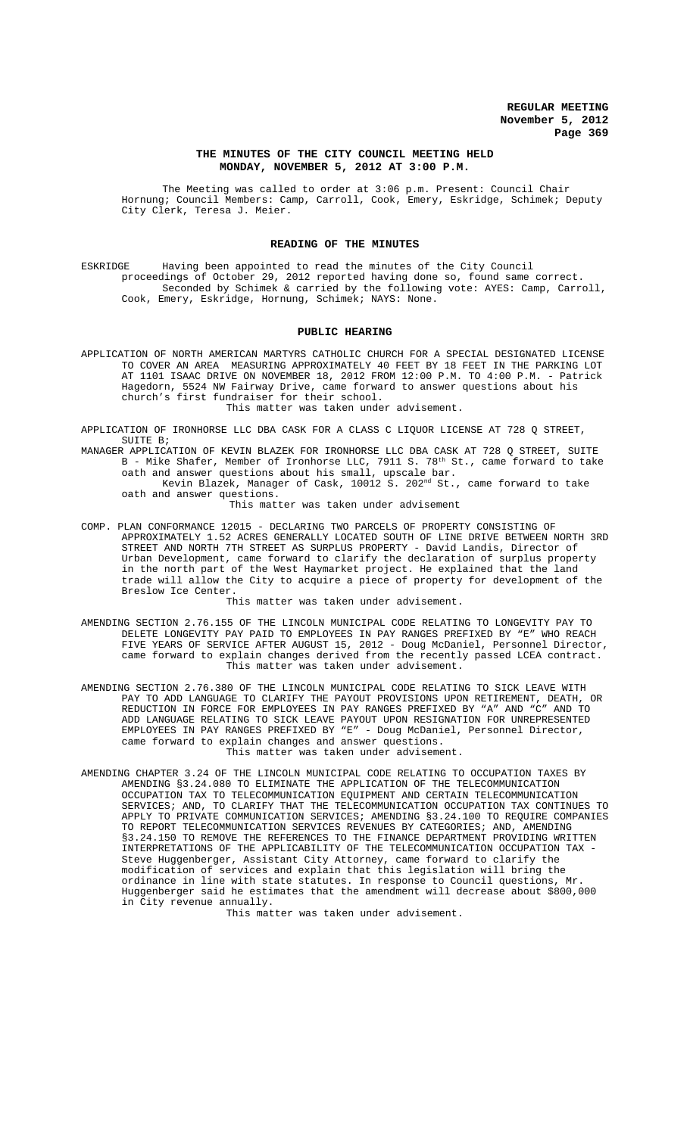### **THE MINUTES OF THE CITY COUNCIL MEETING HELD MONDAY, NOVEMBER 5, 2012 AT 3:00 P.M.**

The Meeting was called to order at 3:06 p.m. Present: Council Chair Hornung; Council Members: Camp, Carroll, Cook, Emery, Eskridge, Schimek; Deputy City Clerk, Teresa J. Meier.

### **READING OF THE MINUTES**

ESKRIDGE Having been appointed to read the minutes of the City Council proceedings of October 29, 2012 reported having done so, found same correct. Seconded by Schimek & carried by the following vote: AYES: Camp, Carroll, Cook, Emery, Eskridge, Hornung, Schimek; NAYS: None.

### **PUBLIC HEARING**

APPLICATION OF NORTH AMERICAN MARTYRS CATHOLIC CHURCH FOR A SPECIAL DESIGNATED LICENSE TO COVER AN AREA MEASURING APPROXIMATELY 40 FEET BY 18 FEET IN THE PARKING LOT AT 1101 ISAAC DRIVE ON NOVEMBER 18, 2012 FROM 12:00 P.M. TO 4:00 P.M. - Patrick Hagedorn, 5524 NW Fairway Drive, came forward to answer questions about his church's first fundraiser for their school. This matter was taken under advisement.

APPLICATION OF IRONHORSE LLC DBA CASK FOR A CLASS C LIQUOR LICENSE AT 728 Q STREET, SUITE B;

MANAGER APPLICATION OF KEVIN BLAZEK FOR IRONHORSE LLC DBA CASK AT 728 Q STREET, SUITE B - Mike Shafer, Member of Ironhorse LLC, 7911 S. 78<sup>th</sup> St., came forward to take oath and answer questions about his small, upscale bar.

Kevin Blazek, Manager of Cask, 10012 S. 202 $^{\rm nd}$  St., came forward to take oath and answer questions.

This matter was taken under advisement

COMP. PLAN CONFORMANCE 12015 - DECLARING TWO PARCELS OF PROPERTY CONSISTING OF APPROXIMATELY 1.52 ACRES GENERALLY LOCATED SOUTH OF LINE DRIVE BETWEEN NORTH 3RD STREET AND NORTH 7TH STREET AS SURPLUS PROPERTY - David Landis, Director of Urban Development, came forward to clarify the declaration of surplus property in the north part of the West Haymarket project. He explained that the land trade will allow the City to acquire a piece of property for development of the Breslow Ice Center.

This matter was taken under advisement.

- AMENDING SECTION 2.76.155 OF THE LINCOLN MUNICIPAL CODE RELATING TO LONGEVITY PAY TO DELETE LONGEVITY PAY PAID TO EMPLOYEES IN PAY RANGES PREFIXED BY "E" WHO REACH FIVE YEARS OF SERVICE AFTER AUGUST 15, 2012 - Doug McDaniel, Personnel Director, came forward to explain changes derived from the recently passed LCEA contract. This matter was taken under advisement.
- AMENDING SECTION 2.76.380 OF THE LINCOLN MUNICIPAL CODE RELATING TO SICK LEAVE WITH PAY TO ADD LANGUAGE TO CLARIFY THE PAYOUT PROVISIONS UPON RETIREMENT, DEATH, OR REDUCTION IN FORCE FOR EMPLOYEES IN PAY RANGES PREFIXED BY "A" AND "C" AND TO ADD LANGUAGE RELATING TO SICK LEAVE PAYOUT UPON RESIGNATION FOR UNREPRESENTED EMPLOYEES IN PAY RANGES PREFIXED BY "E" - Doug McDaniel, Personnel Director, came forward to explain changes and answer questions. This matter was taken under advisement.
- AMENDING CHAPTER 3.24 OF THE LINCOLN MUNICIPAL CODE RELATING TO OCCUPATION TAXES BY AMENDING §3.24.080 TO ELIMINATE THE APPLICATION OF THE TELECOMMUNICATION OCCUPATION TAX TO TELECOMMUNICATION EQUIPMENT AND CERTAIN TELECOMMUNICATION SERVICES; AND, TO CLARIFY THAT THE TELECOMMUNICATION OCCUPATION TAX CONTINUES TO APPLY TO PRIVATE COMMUNICATION SERVICES; AMENDING §3.24.100 TO REQUIRE COMPANIES TO REPORT TELECOMMUNICATION SERVICES REVENUES BY CATEGORIES; AND, AMENDING §3.24.150 TO REMOVE THE REFERENCES TO THE FINANCE DEPARTMENT PROVIDING WRITTEN INTERPRETATIONS OF THE APPLICABILITY OF THE TELECOMMUNICATION OCCUPATION TAX - Steve Huggenberger, Assistant City Attorney, came forward to clarify the modification of services and explain that this legislation will bring the ordinance in line with state statutes. In response to Council questions, Mr. Huggenberger said he estimates that the amendment will decrease about \$800,000 in City revenue annually.

This matter was taken under advisement.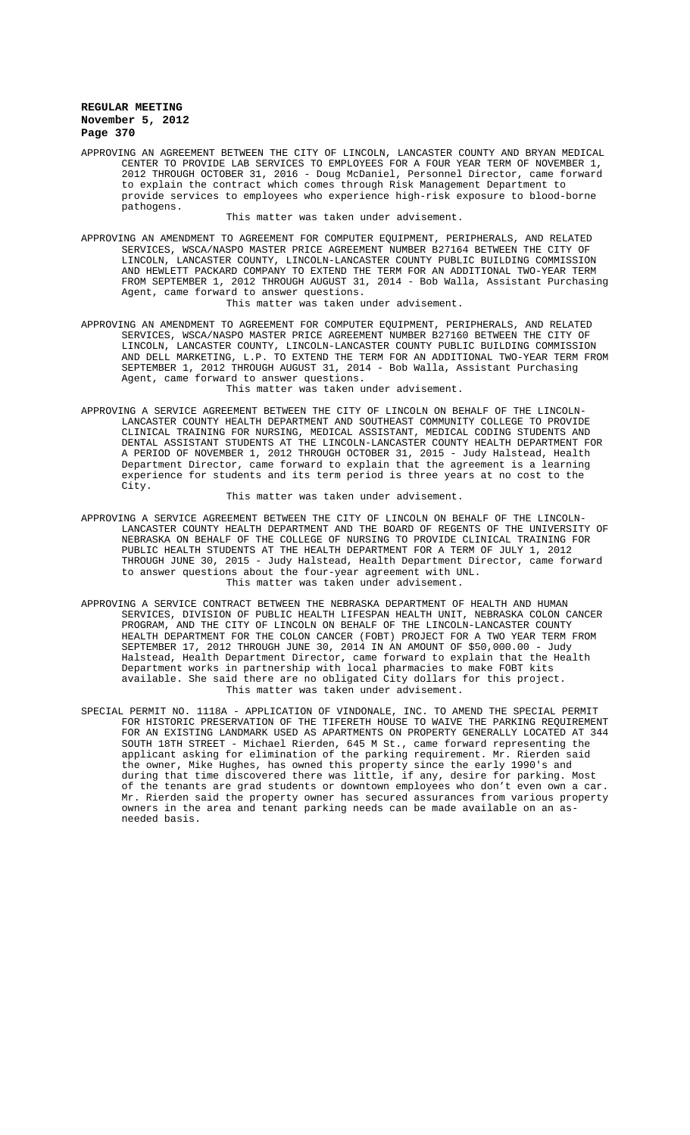APPROVING AN AGREEMENT BETWEEN THE CITY OF LINCOLN, LANCASTER COUNTY AND BRYAN MEDICAL CENTER TO PROVIDE LAB SERVICES TO EMPLOYEES FOR A FOUR YEAR TERM OF NOVEMBER 1, 2012 THROUGH OCTOBER 31, 2016 - Doug McDaniel, Personnel Director, came forward to explain the contract which comes through Risk Management Department to provide services to employees who experience high-risk exposure to blood-borne pathogens.

This matter was taken under advisement.

APPROVING AN AMENDMENT TO AGREEMENT FOR COMPUTER EQUIPMENT, PERIPHERALS, AND RELATED SERVICES, WSCA/NASPO MASTER PRICE AGREEMENT NUMBER B27164 BETWEEN THE CITY OF LINCOLN, LANCASTER COUNTY, LINCOLN-LANCASTER COUNTY PUBLIC BUILDING COMMISSION AND HEWLETT PACKARD COMPANY TO EXTEND THE TERM FOR AN ADDITIONAL TWO-YEAR TERM FROM SEPTEMBER 1, 2012 THROUGH AUGUST 31, 2014 - Bob Walla, Assistant Purchasing Agent, came forward to answer questions.

This matter was taken under advisement.

APPROVING AN AMENDMENT TO AGREEMENT FOR COMPUTER EQUIPMENT, PERIPHERALS, AND RELATED SERVICES, WSCA/NASPO MASTER PRICE AGREEMENT NUMBER B27160 BETWEEN THE CITY OF LINCOLN, LANCASTER COUNTY, LINCOLN-LANCASTER COUNTY PUBLIC BUILDING COMMISSION AND DELL MARKETING, L.P. TO EXTEND THE TERM FOR AN ADDITIONAL TWO-YEAR TERM FROM SEPTEMBER 1, 2012 THROUGH AUGUST 31, 2014 - Bob Walla, Assistant Purchasing Agent, came forward to answer questions.

This matter was taken under advisement.

APPROVING A SERVICE AGREEMENT BETWEEN THE CITY OF LINCOLN ON BEHALF OF THE LINCOLN-LANCASTER COUNTY HEALTH DEPARTMENT AND SOUTHEAST COMMUNITY COLLEGE TO PROVIDE CLINICAL TRAINING FOR NURSING, MEDICAL ASSISTANT, MEDICAL CODING STUDENTS AND DENTAL ASSISTANT STUDENTS AT THE LINCOLN-LANCASTER COUNTY HEALTH DEPARTMENT FOR A PERIOD OF NOVEMBER 1, 2012 THROUGH OCTOBER 31, 2015 - Judy Halstead, Health Department Director, came forward to explain that the agreement is a learning experience for students and its term period is three years at no cost to the City.

This matter was taken under advisement.

- APPROVING A SERVICE AGREEMENT BETWEEN THE CITY OF LINCOLN ON BEHALF OF THE LINCOLN-LANCASTER COUNTY HEALTH DEPARTMENT AND THE BOARD OF REGENTS OF THE UNIVERSITY OF NEBRASKA ON BEHALF OF THE COLLEGE OF NURSING TO PROVIDE CLINICAL TRAINING FOR PUBLIC HEALTH STUDENTS AT THE HEALTH DEPARTMENT FOR A TERM OF JULY 1, 2012 THROUGH JUNE 30, 2015 - Judy Halstead, Health Department Director, came forward to answer questions about the four-year agreement with UNL. This matter was taken under advisement.
- APPROVING A SERVICE CONTRACT BETWEEN THE NEBRASKA DEPARTMENT OF HEALTH AND HUMAN SERVICES, DIVISION OF PUBLIC HEALTH LIFESPAN HEALTH UNIT, NEBRASKA COLON CANCER PROGRAM, AND THE CITY OF LINCOLN ON BEHALF OF THE LINCOLN-LANCASTER COUNTY HEALTH DEPARTMENT FOR THE COLON CANCER (FOBT) PROJECT FOR A TWO YEAR TERM FROM SEPTEMBER 17, 2012 THROUGH JUNE 30, 2014 IN AN AMOUNT OF \$50,000.00 - Judy Halstead, Health Department Director, came forward to explain that the Health Department works in partnership with local pharmacies to make FOBT kits available. She said there are no obligated City dollars for this project. This matter was taken under advisement.
- SPECIAL PERMIT NO. 1118A APPLICATION OF VINDONALE, INC. TO AMEND THE SPECIAL PERMIT FOR HISTORIC PRESERVATION OF THE TIFERETH HOUSE TO WAIVE THE PARKING REQUIREMENT FOR AN EXISTING LANDMARK USED AS APARTMENTS ON PROPERTY GENERALLY LOCATED AT 344 SOUTH 18TH STREET - Michael Rierden, 645 M St., came forward representing the applicant asking for elimination of the parking requirement. Mr. Rierden said the owner, Mike Hughes, has owned this property since the early 1990's and during that time discovered there was little, if any, desire for parking. Most of the tenants are grad students or downtown employees who don't even own a car. Mr. Rierden said the property owner has secured assurances from various property owners in the area and tenant parking needs can be made available on an asneeded basis.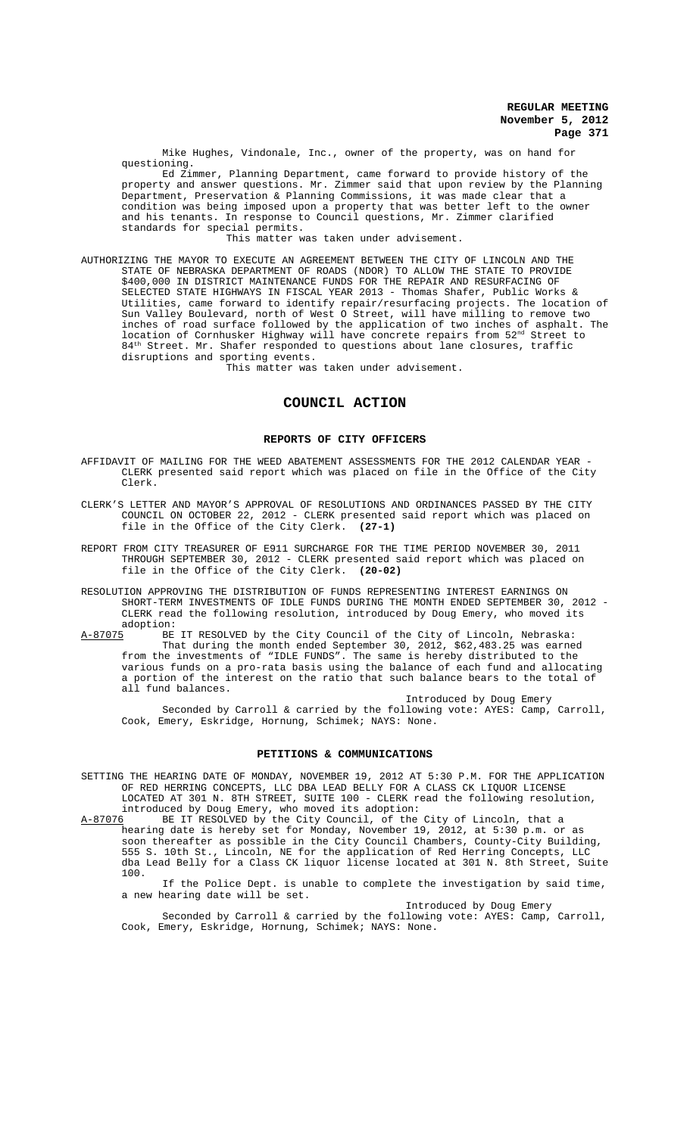Mike Hughes, Vindonale, Inc., owner of the property, was on hand for questioning.

Ed Zimmer, Planning Department, came forward to provide history of the property and answer questions. Mr. Zimmer said that upon review by the Planning Department, Preservation & Planning Commissions, it was made clear that a condition was being imposed upon a property that was better left to the owner and his tenants. In response to Council questions, Mr. Zimmer clarified standards for special permits.

This matter was taken under advisement.

AUTHORIZING THE MAYOR TO EXECUTE AN AGREEMENT BETWEEN THE CITY OF LINCOLN AND THE STATE OF NEBRASKA DEPARTMENT OF ROADS (NDOR) TO ALLOW THE STATE TO PROVIDE \$400,000 IN DISTRICT MAINTENANCE FUNDS FOR THE REPAIR AND RESURFACING OF SELECTED STATE HIGHWAYS IN FISCAL YEAR 2013 - Thomas Shafer, Public Works & Utilities, came forward to identify repair/resurfacing projects. The location of Sun Valley Boulevard, north of West O Street, will have milling to remove two inches of road surface followed by the application of two inches of asphalt. The location of Cornhusker Highway will have concrete repairs from 52nd Street to 84<sup>th</sup> Street. Mr. Shafer responded to questions about lane closures, traffic disruptions and sporting events.

This matter was taken under advisement.

# **COUNCIL ACTION**

### **REPORTS OF CITY OFFICERS**

- AFFIDAVIT OF MAILING FOR THE WEED ABATEMENT ASSESSMENTS FOR THE 2012 CALENDAR YEAR CLERK presented said report which was placed on file in the Office of the City Clerk.
- CLERK'S LETTER AND MAYOR'S APPROVAL OF RESOLUTIONS AND ORDINANCES PASSED BY THE CITY COUNCIL ON OCTOBER 22, 2012 - CLERK presented said report which was placed on file in the Office of the City Clerk. **(27-1)**
- REPORT FROM CITY TREASURER OF E911 SURCHARGE FOR THE TIME PERIOD NOVEMBER 30, 2011 THROUGH SEPTEMBER 30, 2012 - CLERK presented said report which was placed on file in the Office of the City Clerk. **(20-02)**
- RESOLUTION APPROVING THE DISTRIBUTION OF FUNDS REPRESENTING INTEREST EARNINGS ON SHORT-TERM INVESTMENTS OF IDLE FUNDS DURING THE MONTH ENDED SEPTEMBER 30, 2012 - CLERK read the following resolution, introduced by Doug Emery, who moved its adoption:<br>A-87075 BE
- BE IT RESOLVED by the City Council of the City of Lincoln, Nebraska: That during the month ended September 30, 2012, \$62,483.25 was earned from the investments of "IDLE FUNDS". The same is hereby distributed to the various funds on a pro-rata basis using the balance of each fund and allocating a portion of the interest on the ratio that such balance bears to the total of all fund balances.

Introduced by Doug Emery Seconded by Carroll & carried by the following vote: AYES: Camp, Carroll, Cook, Emery, Eskridge, Hornung, Schimek; NAYS: None.

### **PETITIONS & COMMUNICATIONS**

SETTING THE HEARING DATE OF MONDAY, NOVEMBER 19, 2012 AT 5:30 P.M. FOR THE APPLICATION OF RED HERRING CONCEPTS, LLC DBA LEAD BELLY FOR A CLASS CK LIQUOR LICENSE LOCATED AT 301 N. 8TH STREET, SUITE 100 - CLERK read the following resolution,

introduced by Doug Emery, who moved its adoption:<br>A-87076 BE IT RESOLVED by the City Council, of the A-87076 BE IT RESOLVED by the City Council, of the City of Lincoln, that a hearing date is hereby set for Monday, November 19, 2012, at 5:30 p.m. or as soon thereafter as possible in the City Council Chambers, County-City Building, 555 S. 10th St., Lincoln, NE for the application of Red Herring Concepts, LLC dba Lead Belly for a Class CK liquor license located at 301 N. 8th Street, Suite 100.

If the Police Dept. is unable to complete the investigation by said time, a new hearing date will be set.

Introduced by Doug Emery

Seconded by Carroll & carried by the following vote: AYES: Camp, Carroll, Cook, Emery, Eskridge, Hornung, Schimek; NAYS: None.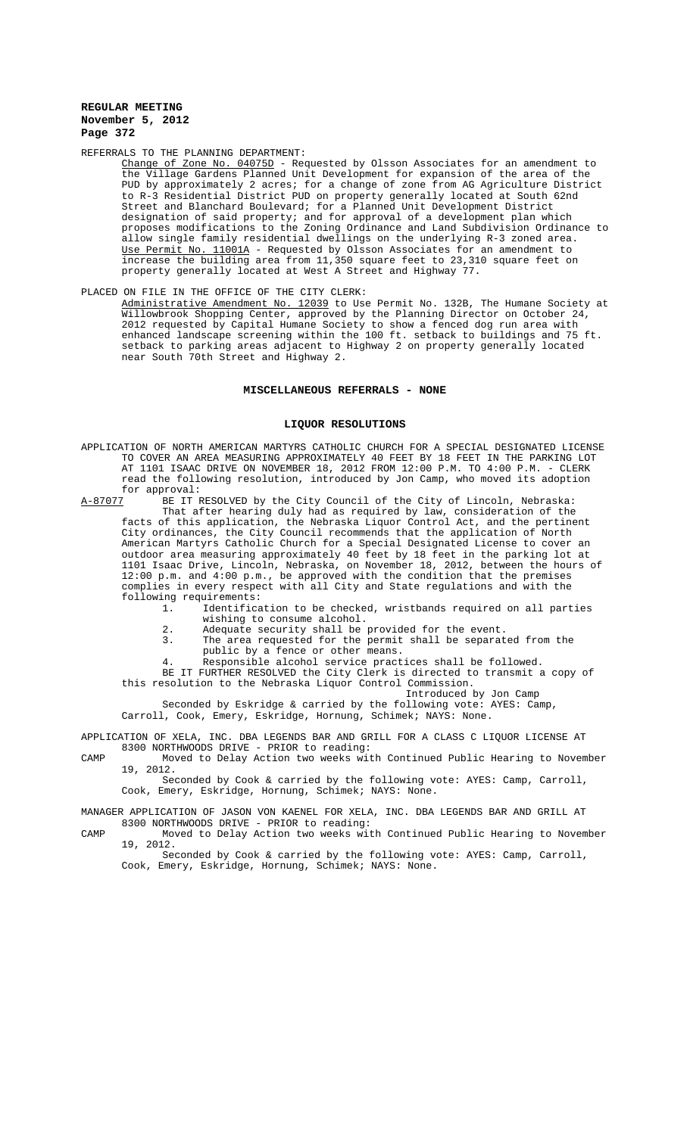### REFERRALS TO THE PLANNING DEPARTMENT:

 $\frac{\text{Change of} \text{Zone No. } 04075D}{\text{the} \text{Villace}}$  - Requested by Olsson Associates for an amendment to the Village Gardens Planned Unit Development for expansion of the area of the PUD by approximately 2 acres; for a change of zone from AG Agriculture District to R-3 Residential District PUD on property generally located at South 62nd Street and Blanchard Boulevard; for a Planned Unit Development District designation of said property; and for approval of a development plan which proposes modifications to the Zoning Ordinance and Land Subdivision Ordinance to allow single family residential dwellings on the underlying R-3 zoned area. Use Permit No.  $11001A$  - Requested by Olsson Associates for an amendment increase the building area from 11,350 square feet to 23,310 square feet on property generally located at West A Street and Highway 77.

PLACED ON FILE IN THE OFFICE OF THE CITY CLERK:<br>Administrative Amendment No. 12039 to Use Permit No. 132B, The Humane Society at Administrative Amendment No. 12039 to Use Permit No. 132B, The Humane Society at Willowbrook Shopping Center, approved by the Planning Director on October 24, 2012 requested by Capital Humane Society to show a fenced dog run area with enhanced landscape screening within the 100 ft. setback to buildings and 75 ft. setback to parking areas adjacent to Highway 2 on property generally located near South 70th Street and Highway 2.

### **MISCELLANEOUS REFERRALS - NONE**

### **LIQUOR RESOLUTIONS**

APPLICATION OF NORTH AMERICAN MARTYRS CATHOLIC CHURCH FOR A SPECIAL DESIGNATED LICENSE TO COVER AN AREA MEASURING APPROXIMATELY 40 FEET BY 18 FEET IN THE PARKING LOT AT 1101 ISAAC DRIVE ON NOVEMBER 18, 2012 FROM 12:00 P.M. TO 4:00 P.M. - CLERK read the following resolution, introduced by Jon Camp, who moved its adoption for approval:<br>A-87077 BE IT H

BE IT RESOLVED by the City Council of the City of Lincoln, Nebraska: That after hearing duly had as required by law, consideration of the facts of this application, the Nebraska Liquor Control Act, and the pertinent City ordinances, the City Council recommends that the application of North American Martyrs Catholic Church for a Special Designated License to cover an outdoor area measuring approximately 40 feet by 18 feet in the parking lot at 1101 Isaac Drive, Lincoln, Nebraska, on November 18, 2012, between the hours of 12:00 p.m. and 4:00 p.m., be approved with the condition that the premises complies in every respect with all City and State regulations and with the following requirements:<br>1. Identifica

- Identification to be checked, wristbands required on all parties wishing to consume alcohol.
- 2. Adequate security shall be provided for the event.
- 3. The area requested for the permit shall be separated from the public by a fence or other means.
- 4. Responsible alcohol service practices shall be followed.

BE IT FURTHER RESOLVED the City Clerk is directed to transmit a copy of this resolution to the Nebraska Liquor Control Commission.

Introduced by Jon Camp

Seconded by Eskridge & carried by the following vote: AYES: Camp, Carroll, Cook, Emery, Eskridge, Hornung, Schimek; NAYS: None.

APPLICATION OF XELA, INC. DBA LEGENDS BAR AND GRILL FOR A CLASS C LIQUOR LICENSE AT 8300 NORTHWOODS DRIVE - PRIOR to reading:

CAMP Moved to Delay Action two weeks with Continued Public Hearing to November 19, 2012.

Seconded by Cook & carried by the following vote: AYES: Camp, Carroll, Cook, Emery, Eskridge, Hornung, Schimek; NAYS: None.

### MANAGER APPLICATION OF JASON VON KAENEL FOR XELA, INC. DBA LEGENDS BAR AND GRILL AT 8300 NORTHWOODS DRIVE - PRIOR to reading:

CAMP Moved to Delay Action two weeks with Continued Public Hearing to November 19, 2012.

Seconded by Cook & carried by the following vote: AYES: Camp, Carroll, Cook, Emery, Eskridge, Hornung, Schimek; NAYS: None.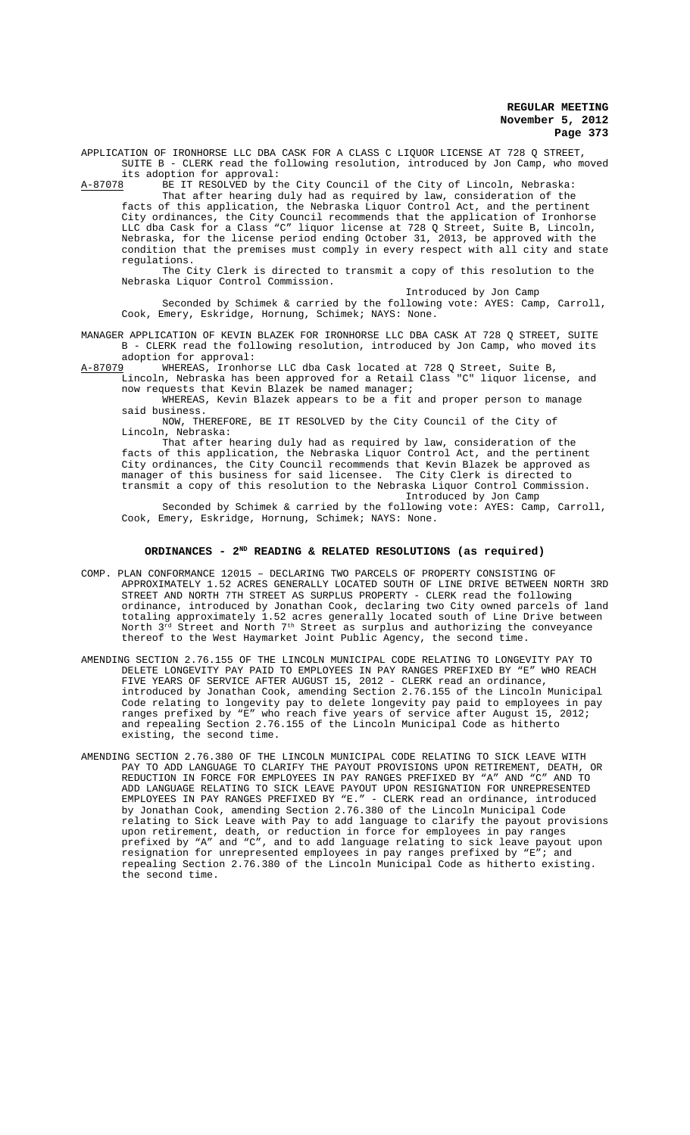APPLICATION OF IRONHORSE LLC DBA CASK FOR A CLASS C LIQUOR LICENSE AT 728 Q STREET, SUITE B - CLERK read the following resolution, introduced by Jon Camp, who moved

its adoption for approval:<br>A-87078 BE IT RESOLVED by the AF IT RESOLVED by the City Council of the City of Lincoln, Nebraska:

That after hearing duly had as required by law, consideration of the facts of this application, the Nebraska Liquor Control Act, and the pertinent City ordinances, the City Council recommends that the application of Ironhorse LLC dba Cask for a Class "C" liquor license at 728 Q Street, Suite B, Lincoln, Nebraska, for the license period ending October 31, 2013, be approved with the condition that the premises must comply in every respect with all city and state regulations.

The City Clerk is directed to transmit a copy of this resolution to the Nebraska Liquor Control Commission.

Introduced by Jon Camp

Seconded by Schimek & carried by the following vote: AYES: Camp, Carroll, Cook, Emery, Eskridge, Hornung, Schimek; NAYS: None.

MANAGER APPLICATION OF KEVIN BLAZEK FOR IRONHORSE LLC DBA CASK AT 728 Q STREET, SUITE B - CLERK read the following resolution, introduced by Jon Camp, who moved its adoption for approval:<br>A-87079 WHEREAS, Ironhor

A-87079 MHEREAS, Ironhorse LLC dba Cask located at 728 Q Street, Suite B, Lincoln, Nebraska has been approved for a Retail Class "C" liquor license, and

now requests that Kevin Blazek be named manager; WHEREAS, Kevin Blazek appears to be a fit and proper person to manage said business.

NOW, THEREFORE, BE IT RESOLVED by the City Council of the City of Lincoln, Nebraska:

That after hearing duly had as required by law, consideration of the facts of this application, the Nebraska Liquor Control Act, and the pertinent City ordinances, the City Council recommends that Kevin Blazek be approved as manager of this business for said licensee. The City Clerk is directed to transmit a copy of this resolution to the Nebraska Liquor Control Commission. Introduced by Jon Camp

Seconded by Schimek & carried by the following vote: AYES: Camp, Carroll, Cook, Emery, Eskridge, Hornung, Schimek; NAYS: None.

# ORDINANCES - 2<sup>ND</sup> READING & RELATED RESOLUTIONS (as required)

- COMP. PLAN CONFORMANCE 12015 DECLARING TWO PARCELS OF PROPERTY CONSISTING OF APPROXIMATELY 1.52 ACRES GENERALLY LOCATED SOUTH OF LINE DRIVE BETWEEN NORTH 3RD STREET AND NORTH 7TH STREET AS SURPLUS PROPERTY - CLERK read the following ordinance, introduced by Jonathan Cook, declaring two City owned parcels of land totaling approximately 1.52 acres generally located south of Line Drive between North  $3^{\text{rd}}$  Street and North  $7^{\text{th}}$  Street as surplus and authorizing the conveyance thereof to the West Haymarket Joint Public Agency, the second time.
- AMENDING SECTION 2.76.155 OF THE LINCOLN MUNICIPAL CODE RELATING TO LONGEVITY PAY TO DELETE LONGEVITY PAY PAID TO EMPLOYEES IN PAY RANGES PREFIXED BY "E" WHO REACH FIVE YEARS OF SERVICE AFTER AUGUST 15, 2012 - CLERK read an ordinance, introduced by Jonathan Cook, amending Section 2.76.155 of the Lincoln Municipal Code relating to longevity pay to delete longevity pay paid to employees in pay ranges prefixed by "E" who reach five years of service after August 15, 2012; and repealing Section 2.76.155 of the Lincoln Municipal Code as hitherto existing, the second time.
- AMENDING SECTION 2.76.380 OF THE LINCOLN MUNICIPAL CODE RELATING TO SICK LEAVE WITH PAY TO ADD LANGUAGE TO CLARIFY THE PAYOUT PROVISIONS UPON RETIREMENT, DEATH, OR REDUCTION IN FORCE FOR EMPLOYEES IN PAY RANGES PREFIXED BY "A" AND "C" AND TO ADD LANGUAGE RELATING TO SICK LEAVE PAYOUT UPON RESIGNATION FOR UNREPRESENTED EMPLOYEES IN PAY RANGES PREFIXED BY "E." - CLERK read an ordinance, introduced by Jonathan Cook, amending Section 2.76.380 of the Lincoln Municipal Code relating to Sick Leave with Pay to add language to clarify the payout provisions upon retirement, death, or reduction in force for employees in pay ranges prefixed by "A" and "C", and to add language relating to sick leave payout upon resignation for unrepresented employees in pay ranges prefixed by "E"; and repealing Section 2.76.380 of the Lincoln Municipal Code as hitherto existing. the second time.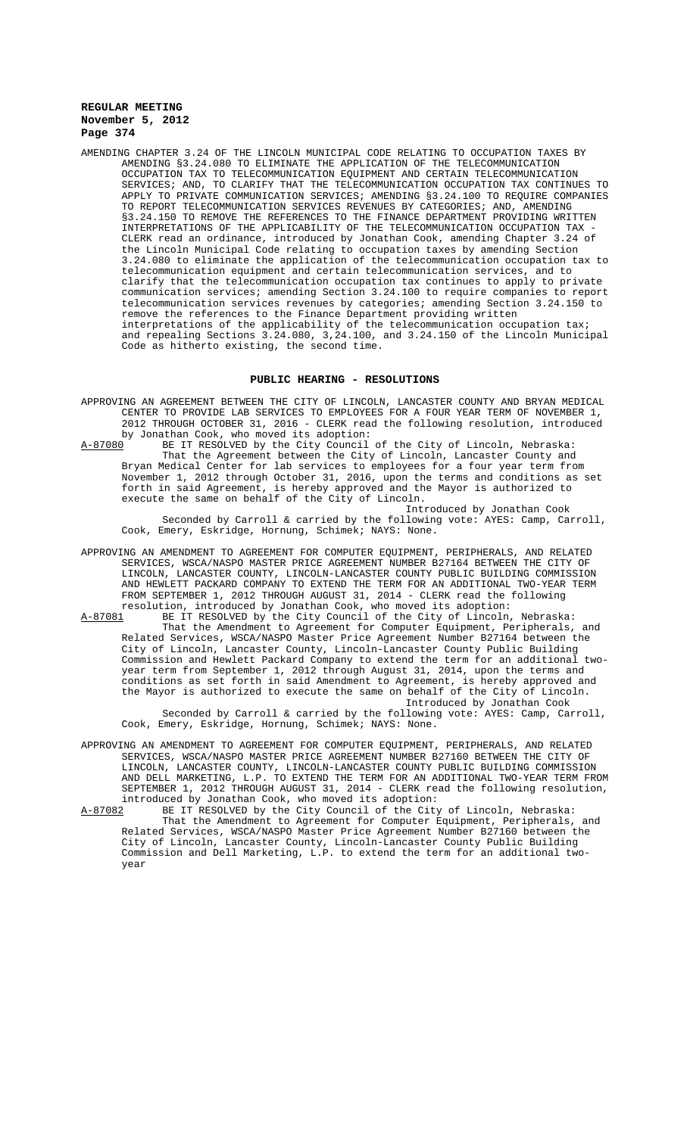AMENDING CHAPTER 3.24 OF THE LINCOLN MUNICIPAL CODE RELATING TO OCCUPATION TAXES BY AMENDING §3.24.080 TO ELIMINATE THE APPLICATION OF THE TELECOMMUNICATION OCCUPATION TAX TO TELECOMMUNICATION EQUIPMENT AND CERTAIN TELECOMMUNICATION SERVICES; AND, TO CLARIFY THAT THE TELECOMMUNICATION OCCUPATION TAX CONTINUES TO APPLY TO PRIVATE COMMUNICATION SERVICES; AMENDING §3.24.100 TO REQUIRE COMPANIES TO REPORT TELECOMMUNICATION SERVICES REVENUES BY CATEGORIES; AND, AMENDING §3.24.150 TO REMOVE THE REFERENCES TO THE FINANCE DEPARTMENT PROVIDING WRITTEN INTERPRETATIONS OF THE APPLICABILITY OF THE TELECOMMUNICATION OCCUPATION TAX - CLERK read an ordinance, introduced by Jonathan Cook, amending Chapter 3.24 of the Lincoln Municipal Code relating to occupation taxes by amending Section 3.24.080 to eliminate the application of the telecommunication occupation tax to telecommunication equipment and certain telecommunication services, and to clarify that the telecommunication occupation tax continues to apply to private communication services; amending Section 3.24.100 to require companies to report telecommunication services revenues by categories; amending Section 3.24.150 to remove the references to the Finance Department providing written interpretations of the applicability of the telecommunication occupation tax; and repealing Sections 3.24.080, 3,24.100, and 3.24.150 of the Lincoln Municipal Code as hitherto existing, the second time.

# **PUBLIC HEARING - RESOLUTIONS**

- APPROVING AN AGREEMENT BETWEEN THE CITY OF LINCOLN, LANCASTER COUNTY AND BRYAN MEDICAL CENTER TO PROVIDE LAB SERVICES TO EMPLOYEES FOR A FOUR YEAR TERM OF NOVEMBER 1, 2012 THROUGH OCTOBER 31, 2016 - CLERK read the following resolution, introduced by Jonathan Cook, who moved its adoption:<br>A-87080 BE IT RESOLVED by the City Council
	- BE IT RESOLVED by the City Council of the City of Lincoln, Nebraska: That the Agreement between the City of Lincoln, Lancaster County and Bryan Medical Center for lab services to employees for a four year term from November 1, 2012 through October 31, 2016, upon the terms and conditions as set forth in said Agreement, is hereby approved and the Mayor is authorized to execute the same on behalf of the City of Lincoln.

Introduced by Jonathan Cook Seconded by Carroll & carried by the following vote: AYES: Camp, Carroll, Cook, Emery, Eskridge, Hornung, Schimek; NAYS: None.

- APPROVING AN AMENDMENT TO AGREEMENT FOR COMPUTER EQUIPMENT, PERIPHERALS, AND RELATED SERVICES, WSCA/NASPO MASTER PRICE AGREEMENT NUMBER B27164 BETWEEN THE CITY OF LINCOLN, LANCASTER COUNTY, LINCOLN-LANCASTER COUNTY PUBLIC BUILDING COMMISSION AND HEWLETT PACKARD COMPANY TO EXTEND THE TERM FOR AN ADDITIONAL TWO-YEAR TERM FROM SEPTEMBER 1, 2012 THROUGH AUGUST 31, 2014 - CLERK read the following resolution, introduced by Jonathan Cook, who moved its adoption:
- A-87081 BE IT RESOLVED by the City Council of the City of Lincoln, Nebraska: That the Amendment to Agreement for Computer Equipment, Peripherals, Related Services, WSCA/NASPO Master Price Agreement Number B27164 between the City of Lincoln, Lancaster County, Lincoln-Lancaster County Public Building Commission and Hewlett Packard Company to extend the term for an additional twoyear term from September 1, 2012 through August 31, 2014, upon the terms and conditions as set forth in said Amendment to Agreement, is hereby approved and the Mayor is authorized to execute the same on behalf of the City of Lincoln. Introduced by Jonathan Cook

Seconded by Carroll & carried by the following vote: AYES: Camp, Carroll, Cook, Emery, Eskridge, Hornung, Schimek; NAYS: None.

- APPROVING AN AMENDMENT TO AGREEMENT FOR COMPUTER EQUIPMENT, PERIPHERALS, AND RELATED SERVICES, WSCA/NASPO MASTER PRICE AGREEMENT NUMBER B27160 BETWEEN THE CITY OF LINCOLN, LANCASTER COUNTY, LINCOLN-LANCASTER COUNTY PUBLIC BUILDING COMMISSION AND DELL MARKETING, L.P. TO EXTEND THE TERM FOR AN ADDITIONAL TWO-YEAR TERM FROM SEPTEMBER 1, 2012 THROUGH AUGUST 31, 2014 - CLERK read the following resolution, introduced by Jonathan Cook, who moved its adoption:
- A-87082 BE IT RESOLVED by the City Council of the City of Lincoln, Nebraska: That the Amendment to Agreement for Computer Equipment, Peripherals, and Related Services, WSCA/NASPO Master Price Agreement Number B27160 between the City of Lincoln, Lancaster County, Lincoln-Lancaster County Public Building Commission and Dell Marketing, L.P. to extend the term for an additional twoyear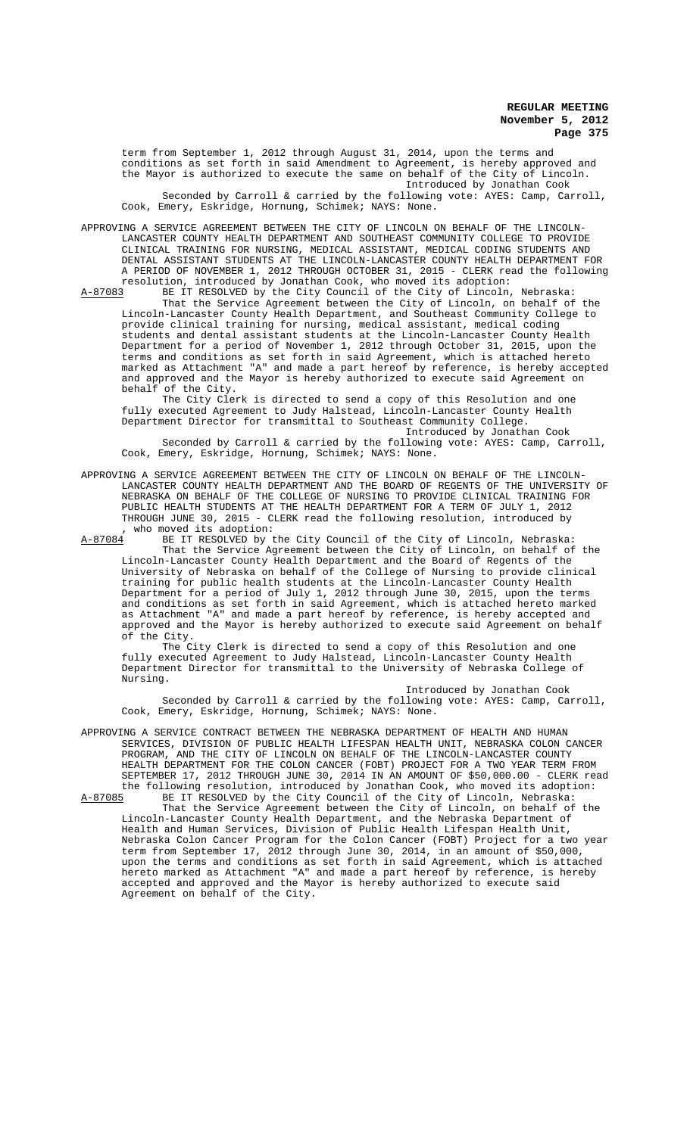term from September 1, 2012 through August 31, 2014, upon the terms and conditions as set forth in said Amendment to Agreement, is hereby approved and the Mayor is authorized to execute the same on behalf of the City of Lincoln. Introduced by Jonathan Cook Seconded by Carroll & carried by the following vote: AYES: Camp, Carroll, Cook, Emery, Eskridge, Hornung, Schimek; NAYS: None.

APPROVING A SERVICE AGREEMENT BETWEEN THE CITY OF LINCOLN ON BEHALF OF THE LINCOLN-LANCASTER COUNTY HEALTH DEPARTMENT AND SOUTHEAST COMMUNITY COLLEGE TO PROVIDE CLINICAL TRAINING FOR NURSING, MEDICAL ASSISTANT, MEDICAL CODING STUDENTS AND DENTAL ASSISTANT STUDENTS AT THE LINCOLN-LANCASTER COUNTY HEALTH DEPARTMENT FOR A PERIOD OF NOVEMBER 1, 2012 THROUGH OCTOBER 31, 2015 - CLERK read the following resolution, introduced by Jonathan Cook, who moved its adoption: resolution, introduced by Jonathan Cook, who moved its adoption:

A-87083 BE IT RESOLVED by the City Council of the City of Lincoln, Nebraska: That the Service Agreement between the City of Lincoln, on behalf of the Lincoln-Lancaster County Health Department, and Southeast Community College to provide clinical training for nursing, medical assistant, medical coding students and dental assistant students at the Lincoln-Lancaster County Health Department for a period of November 1, 2012 through October 31, 2015, upon the terms and conditions as set forth in said Agreement, which is attached hereto marked as Attachment "A" and made a part hereof by reference, is hereby accepted and approved and the Mayor is hereby authorized to execute said Agreement on behalf of the City.

The City Clerk is directed to send a copy of this Resolution and one fully executed Agreement to Judy Halstead, Lincoln-Lancaster County Health Department Director for transmittal to Southeast Community College.

Introduced by Jonathan Cook Seconded by Carroll & carried by the following vote: AYES: Camp, Carroll, Cook, Emery, Eskridge, Hornung, Schimek; NAYS: None.

APPROVING A SERVICE AGREEMENT BETWEEN THE CITY OF LINCOLN ON BEHALF OF THE LINCOLN-LANCASTER COUNTY HEALTH DEPARTMENT AND THE BOARD OF REGENTS OF THE UNIVERSITY OF NEBRASKA ON BEHALF OF THE COLLEGE OF NURSING TO PROVIDE CLINICAL TRAINING FOR PUBLIC HEALTH STUDENTS AT THE HEALTH DEPARTMENT FOR A TERM OF JULY 1, 2012 THROUGH JUNE 30, 2015 - CLERK read the following resolution, introduced by %, who moved its adoption:<br>A-87084 BE IT RESOLVED by t

A-87084 BE IT RESOLVED by the City Council of the City of Lincoln, Nebraska: That the Service Agreement between the City of Lincoln, on behalf of the Lincoln-Lancaster County Health Department and the Board of Regents of the University of Nebraska on behalf of the College of Nursing to provide clinical training for public health students at the Lincoln-Lancaster County Health Department for a period of July 1, 2012 through June 30, 2015, upon the terms and conditions as set forth in said Agreement, which is attached hereto marked as Attachment "A" and made a part hereof by reference, is hereby accepted and approved and the Mayor is hereby authorized to execute said Agreement on behalf of the City.

The City Clerk is directed to send a copy of this Resolution and one fully executed Agreement to Judy Halstead, Lincoln-Lancaster County Health Department Director for transmittal to the University of Nebraska College of Nursing.

Introduced by Jonathan Cook Seconded by Carroll & carried by the following vote: AYES: Camp, Carroll, Cook, Emery, Eskridge, Hornung, Schimek; NAYS: None.

APPROVING A SERVICE CONTRACT BETWEEN THE NEBRASKA DEPARTMENT OF HEALTH AND HUMAN SERVICES, DIVISION OF PUBLIC HEALTH LIFESPAN HEALTH UNIT, NEBRASKA COLON CANCER PROGRAM, AND THE CITY OF LINCOLN ON BEHALF OF THE LINCOLN-LANCASTER COUNTY HEALTH DEPARTMENT FOR THE COLON CANCER (FOBT) PROJECT FOR A TWO YEAR TERM FROM SEPTEMBER 17, 2012 THROUGH JUNE 30, 2014 IN AN AMOUNT OF \$50,000.00 - CLERK read the following resolution, introduced by Jonathan Cook, who moved its adoption:<br>A-87085 BE IT RESOLVED by the City Council of the City of Lincoln, Nebraska:

A-87085 BE IT RESOLVED by the City Council of the City of Lincoln, Nebraska: That the Service Agreement between the City of Lincoln, on behalf of the Lincoln-Lancaster County Health Department, and the Nebraska Department of Health and Human Services, Division of Public Health Lifespan Health Unit, Nebraska Colon Cancer Program for the Colon Cancer (FOBT) Project for a two year term from September 17, 2012 through June 30, 2014, in an amount of \$50,000, upon the terms and conditions as set forth in said Agreement, which is attached hereto marked as Attachment "A" and made a part hereof by reference, is hereby accepted and approved and the Mayor is hereby authorized to execute said Agreement on behalf of the City.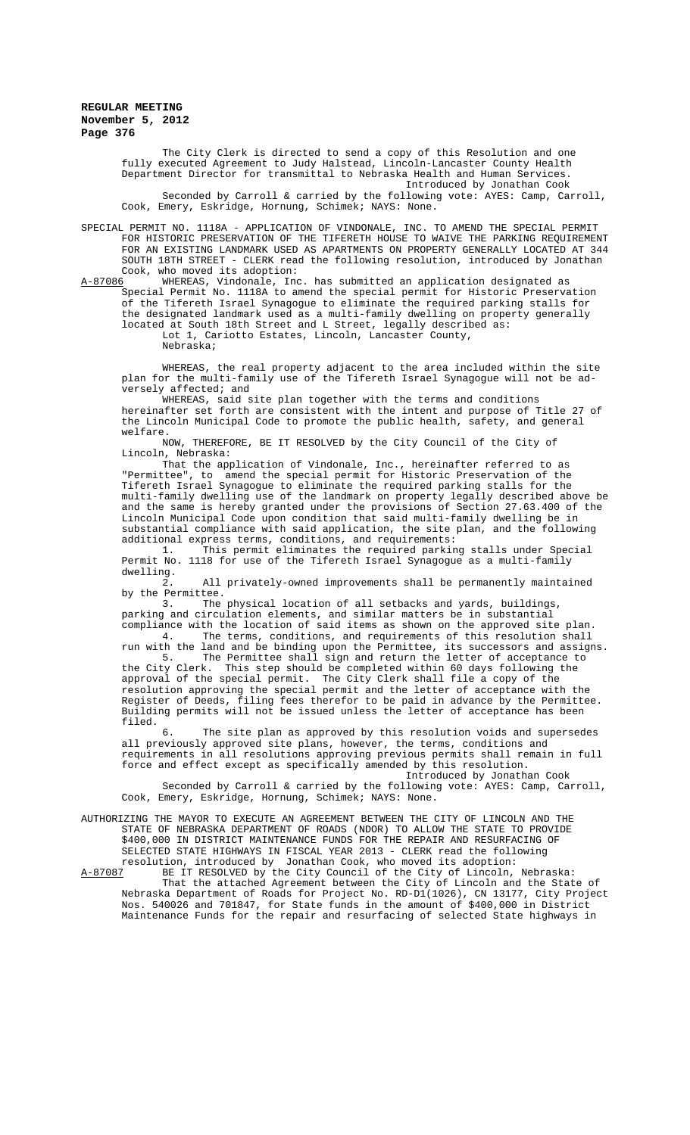The City Clerk is directed to send a copy of this Resolution and one fully executed Agreement to Judy Halstead, Lincoln-Lancaster County Health Department Director for transmittal to Nebraska Health and Human Services. Introduced by Jonathan Cook

Seconded by Carroll & carried by the following vote: AYES: Camp, Carroll, Cook, Emery, Eskridge, Hornung, Schimek; NAYS: None.

SPECIAL PERMIT NO. 1118A - APPLICATION OF VINDONALE, INC. TO AMEND THE SPECIAL PERMIT FOR HISTORIC PRESERVATION OF THE TIFERETH HOUSE TO WAIVE THE PARKING REQUIREMENT<br>FOR AN EXISTING LANDMARK USED AS APARTMENTS ON PROPERTY GENERALLY LOCATED AT 344 AN EXISTING LANDMARK USED AS APARTMENTS ON PROPERTY GENERALLY LOCATED AT 344 SOUTH 18TH STREET - CLERK read the following resolution, introduced by Jonathan Cook, who moved its adoption:

A-87086 WHEREAS, Vindonale, Inc. has submitted an application designated as Special Permit No. 1118A to amend the special permit for Historic Preservation of the Tifereth Israel Synagogue to eliminate the required parking stalls for the designated landmark used as a multi-family dwelling on property generally located at South 18th Street and L Street, legally described as: Lot 1, Cariotto Estates, Lincoln, Lancaster County, Nebraska;

WHEREAS, the real property adjacent to the area included within the site plan for the multi-family use of the Tifereth Israel Synagogue will not be adversely affected; and

WHEREAS, said site plan together with the terms and conditions hereinafter set forth are consistent with the intent and purpose of Title 27 of the Lincoln Municipal Code to promote the public health, safety, and general welfare.

NOW, THEREFORE, BE IT RESOLVED by the City Council of the City of Lincoln, Nebraska:

That the application of Vindonale, Inc., hereinafter referred to as "Permittee", to amend the special permit for Historic Preservation of the Tifereth Israel Synagogue to eliminate the required parking stalls for the multi-family dwelling use of the landmark on property legally described above be and the same is hereby granted under the provisions of Section 27.63.400 of the Lincoln Municipal Code upon condition that said multi-family dwelling be in substantial compliance with said application, the site plan, and the following additional express terms, conditions, and requirements:

1. This permit eliminates the required parking stalls under Special Permit No. 1118 for use of the Tifereth Israel Synagogue as a multi-family dwelling.

2. All privately-owned improvements shall be permanently maintained by the Permittee.<br>3. The

The physical location of all setbacks and yards, buildings, parking and circulation elements, and similar matters be in substantial compliance with the location of said items as shown on the approved site plan. 4. The terms, conditions, and requirements of this resolution shall

run with the land and be binding upon the Permittee, its successors and assigns.<br>5. The Permittee shall sign and return the letter of acceptance to sign and return the letter of acceptance to the City Clerk. This step should be completed within 60 days following the approval of the special permit. The City Clerk shall file a copy of the resolution approving the special permit and the letter of acceptance with the Register of Deeds, filing fees therefor to be paid in advance by the Permittee. Building permits will not be issued unless the letter of acceptance has been filed.

6. The site plan as approved by this resolution voids and supersedes all previously approved site plans, however, the terms, conditions and requirements in all resolutions approving previous permits shall remain in full force and effect except as specifically amended by this resolution.

Introduced by Jonathan Cook Seconded by Carroll & carried by the following vote: AYES: Camp, Carroll, Cook, Emery, Eskridge, Hornung, Schimek; NAYS: None.

AUTHORIZING THE MAYOR TO EXECUTE AN AGREEMENT BETWEEN THE CITY OF LINCOLN AND THE STATE OF NEBRASKA DEPARTMENT OF ROADS (NDOR) TO ALLOW THE STATE TO PROVIDE \$400,000 IN DISTRICT MAINTENANCE FUNDS FOR THE REPAIR AND RESURFACING OF SELECTED STATE HIGHWAYS IN FISCAL YEAR 2013 - CLERK read the following resolution, introduced by Jonathan Cook, who moved its adoption:

A-87087 BE IT RESOLVED by the City Council of the City of Lincoln, Nebraska: That the attached Agreement between the City of Lincoln and the State of Nebraska Department of Roads for Project No. RD-D1(1026), CN 13177, City Project Nos. 540026 and 701847, for State funds in the amount of \$400,000 in District Maintenance Funds for the repair and resurfacing of selected State highways in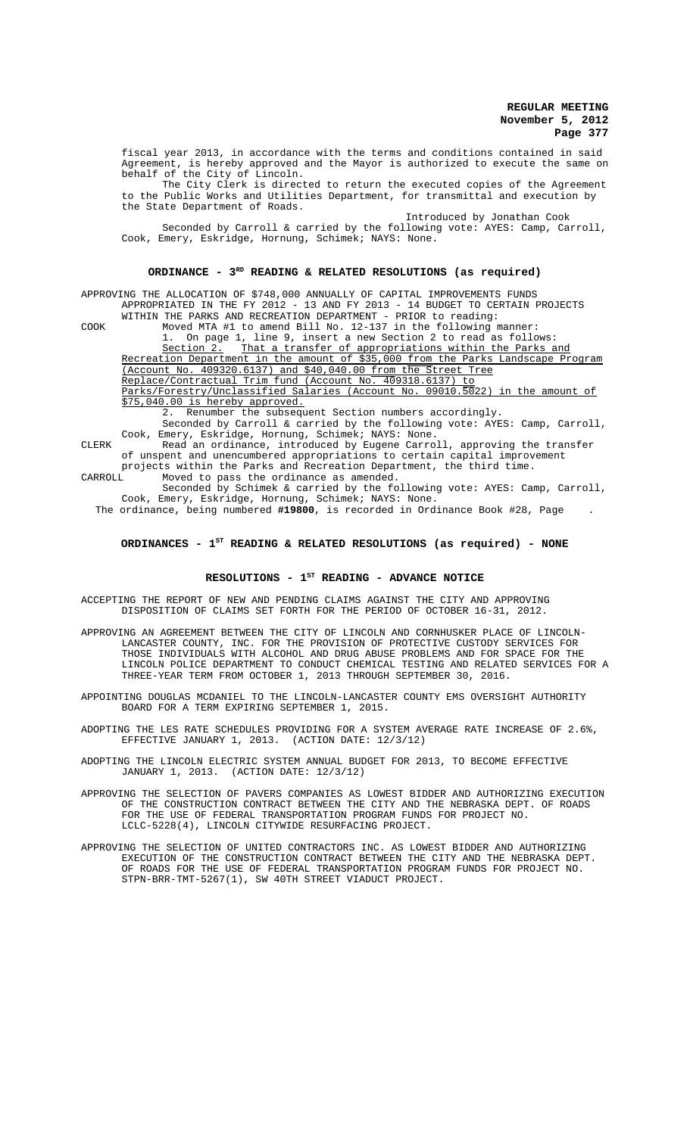fiscal year 2013, in accordance with the terms and conditions contained in said Agreement, is hereby approved and the Mayor is authorized to execute the same on behalf of the City of Lincoln.

The City Clerk is directed to return the executed copies of the Agreement to the Public Works and Utilities Department, for transmittal and execution by the State Department of Roads.

Introduced by Jonathan Cook Seconded by Carroll & carried by the following vote: AYES: Camp, Carroll, Cook, Emery, Eskridge, Hornung, Schimek; NAYS: None.

# ORDINANCE -  $3^{RD}$  READING & RELATED RESOLUTIONS (as required)

APPROVING THE ALLOCATION OF \$748,000 ANNUALLY OF CAPITAL IMPROVEMENTS FUNDS APPROPRIATED IN THE FY 2012 - 13 AND FY 2013 - 14 BUDGET TO CERTAIN PROJECTS

WITHIN THE PARKS AND RECREATION DEPARTMENT - PRIOR to reading: COOK Moved MTA #1 to amend Bill No. 12-137 in the following manner:

1. On page 1, line 9, insert a new Section 2 to read as follows:<br>Section 2. That a transfer of appropriations within the Parks a

That a transfer of appropriations within the Parks and Recreation Department in the amount of \$35,000 from the Parks Landscape Program

(Account No. 409320.6137) and \$40,040.00 from the Street Tree

Replace/Contractual Trim fund (Account No. 409318.6137) to Parks/Forestry/Unclassified Salaries (Account No. 09010.5022) in the amount of \$75,040.00 is hereby approved.

2. Renumber the subsequent Section numbers accordingly.

Seconded by Carroll & carried by the following vote: AYES: Camp, Carroll, Cook, Emery, Eskridge, Hornung, Schimek; NAYS: None.

CLERK Read an ordinance, introduced by Eugene Carroll, approving the transfer of unspent and unencumbered appropriations to certain capital improvement projects within the Parks and Recreation Department, the third time.<br>CARROLL Moved to pass the ordinance as amended.

Moved to pass the ordinance as amended. Seconded by Schimek & carried by the following vote: AYES: Camp, Carroll,

Cook, Emery, Eskridge, Hornung, Schimek; NAYS: None. The ordinance, being numbered **#19800**, is recorded in Ordinance Book #28, Page .

# ORDINANCES - 1<sup>st</sup> READING & RELATED RESOLUTIONS (as required) - NONE

### RESOLUTIONS - 1<sup>st</sup> READING - ADVANCE NOTICE

ACCEPTING THE REPORT OF NEW AND PENDING CLAIMS AGAINST THE CITY AND APPROVING DISPOSITION OF CLAIMS SET FORTH FOR THE PERIOD OF OCTOBER 16-31, 2012.

APPROVING AN AGREEMENT BETWEEN THE CITY OF LINCOLN AND CORNHUSKER PLACE OF LINCOLN-LANCASTER COUNTY, INC. FOR THE PROVISION OF PROTECTIVE CUSTODY SERVICES FOR THOSE INDIVIDUALS WITH ALCOHOL AND DRUG ABUSE PROBLEMS AND FOR SPACE FOR THE LINCOLN POLICE DEPARTMENT TO CONDUCT CHEMICAL TESTING AND RELATED SERVICES FOR A THREE-YEAR TERM FROM OCTOBER 1, 2013 THROUGH SEPTEMBER 30, 2016.

APPOINTING DOUGLAS MCDANIEL TO THE LINCOLN-LANCASTER COUNTY EMS OVERSIGHT AUTHORITY BOARD FOR A TERM EXPIRING SEPTEMBER 1, 2015.

ADOPTING THE LES RATE SCHEDULES PROVIDING FOR A SYSTEM AVERAGE RATE INCREASE OF 2.6%, EFFECTIVE JANUARY 1, 2013. (ACTION DATE: 12/3/12)

ADOPTING THE LINCOLN ELECTRIC SYSTEM ANNUAL BUDGET FOR 2013, TO BECOME EFFECTIVE (ACTION DATE: 12/3/12)

APPROVING THE SELECTION OF PAVERS COMPANIES AS LOWEST BIDDER AND AUTHORIZING EXECUTION OF THE CONSTRUCTION CONTRACT BETWEEN THE CITY AND THE NEBRASKA DEPT. OF ROADS FOR THE USE OF FEDERAL TRANSPORTATION PROGRAM FUNDS FOR PROJECT NO. LCLC-5228(4), LINCOLN CITYWIDE RESURFACING PROJECT.

APPROVING THE SELECTION OF UNITED CONTRACTORS INC. AS LOWEST BIDDER AND AUTHORIZING EXECUTION OF THE CONSTRUCTION CONTRACT BETWEEN THE CITY AND THE NEBRASKA DEPT. OF ROADS FOR THE USE OF FEDERAL TRANSPORTATION PROGRAM FUNDS FOR PROJECT NO. STPN-BRR-TMT-5267(1), SW 40TH STREET VIADUCT PROJECT.